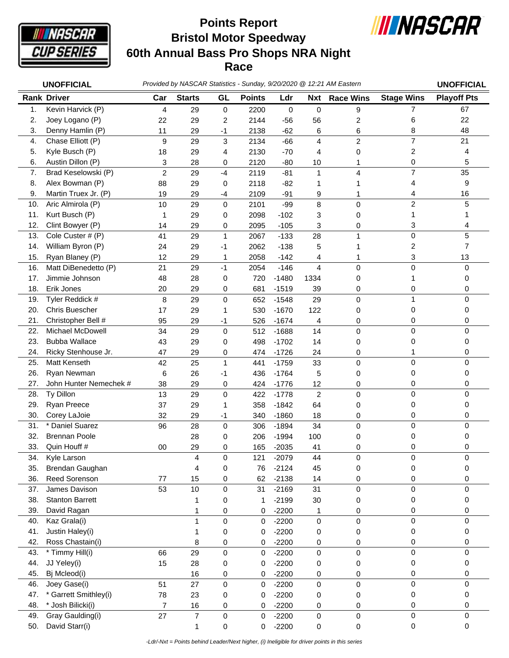

## **Bristol Motor Speedway 60th Annual Bass Pro Shops NRA Night Race Points Report**



|     | <b>UNOFFICIAL</b>      |                |                |                     |               |         |                  | Provided by NASCAR Statistics - Sunday, 9/20/2020 @ 12:21 AM Eastern |                   | <b>UNOFFICIAL</b>  |
|-----|------------------------|----------------|----------------|---------------------|---------------|---------|------------------|----------------------------------------------------------------------|-------------------|--------------------|
|     | <b>Rank Driver</b>     | Car            | <b>Starts</b>  | GL                  | <b>Points</b> | Ldr     | <b>Nxt</b>       | <b>Race Wins</b>                                                     | <b>Stage Wins</b> | <b>Playoff Pts</b> |
| 1.  | Kevin Harvick (P)      | 4              | 29             | 0                   | 2200          | 0       | $\mathbf 0$      | 9                                                                    | $\overline{7}$    | 67                 |
| 2.  | Joey Logano (P)        | 22             | 29             | $\overline{c}$      | 2144          | $-56$   | 56               | 2                                                                    | 6                 | 22                 |
| 3.  | Denny Hamlin (P)       | 11             | 29             | $-1$                | 2138          | $-62$   | 6                | 6                                                                    | 8                 | 48                 |
| 4.  | Chase Elliott (P)      | 9              | 29             | 3                   | 2134          | $-66$   | $\overline{4}$   | $\overline{c}$                                                       | 7                 | 21                 |
| 5.  | Kyle Busch (P)         | 18             | 29             | 4                   | 2130          | $-70$   | 4                | 0                                                                    | 2                 | 4                  |
| 6.  | Austin Dillon (P)      | 3              | 28             | 0                   | 2120          | $-80$   | 10               | 1                                                                    | 0                 | 5                  |
| 7.  | Brad Keselowski (P)    | $\overline{c}$ | 29             | $-4$                | 2119          | $-81$   | 1                | 4                                                                    | $\overline{7}$    | 35                 |
| 8.  | Alex Bowman (P)        | 88             | 29             | 0                   | 2118          | $-82$   | 1                |                                                                      | 4                 | 9                  |
| 9.  | Martin Truex Jr. (P)   | 19             | 29             | -4                  | 2109          | $-91$   | 9                | 1                                                                    | 4                 | 16                 |
| 10. | Aric Almirola (P)      | 10             | 29             | 0                   | 2101          | $-99$   | 8                | 0                                                                    | $\overline{c}$    | 5                  |
| 11. | Kurt Busch (P)         | 1              | 29             | 0                   | 2098          | $-102$  | 3                | 0                                                                    | 1                 | 1                  |
| 12. | Clint Bowyer (P)       | 14             | 29             | 0                   | 2095          | $-105$  | 3                | 0                                                                    | 3                 | 4                  |
| 13. | Cole Custer # (P)      | 41             | 29             | $\mathbf{1}$        | 2067          | $-133$  | 28               | 1                                                                    | $\mathbf 0$       | 5                  |
| 14. | William Byron (P)      | 24             | 29             | -1                  | 2062          | $-138$  | 5                |                                                                      | 2                 | $\overline{7}$     |
| 15. | Ryan Blaney (P)        | 12             | 29             | 1                   | 2058          | $-142$  | 4                | 1                                                                    | 3                 | 13                 |
| 16. | Matt DiBenedetto (P)   | 21             | 29             | $-1$                | 2054          | $-146$  | $\overline{4}$   | 0                                                                    | $\mathbf 0$       | 0                  |
| 17. | Jimmie Johnson         | 48             | 28             | 0                   | 720           | $-1480$ | 1334             | 0                                                                    | 1                 | 0                  |
| 18. | Erik Jones             | 20             | 29             | 0                   | 681           | $-1519$ | 39               | 0                                                                    | 0                 | 0                  |
| 19. | Tyler Reddick #        | 8              | 29             | $\mathbf 0$         | 652           | $-1548$ | 29               | 0                                                                    | $\mathbf{1}$      | 0                  |
| 20. | Chris Buescher         | 17             | 29             | 1                   | 530           | $-1670$ | 122              | 0                                                                    | 0                 | 0                  |
| 21. | Christopher Bell #     | 95             | 29             | -1                  | 526           | $-1674$ | 4                | 0                                                                    | 0                 | 0                  |
| 22. | Michael McDowell       | 34             | 29             | 0                   | 512           | $-1688$ | 14               | 0                                                                    | $\mathbf 0$       | 0                  |
| 23. | <b>Bubba Wallace</b>   | 43             | 29             | 0                   | 498           | $-1702$ | 14               | 0                                                                    | 0                 | 0                  |
| 24. | Ricky Stenhouse Jr.    | 47             | 29             | 0                   | 474           | $-1726$ | 24               | 0                                                                    | 1                 | 0                  |
| 25. | Matt Kenseth           | 42             | 25             | $\mathbf{1}$        | 441           | $-1759$ | 33               | 0                                                                    | $\mathbf 0$       | 0                  |
| 26. | Ryan Newman            | 6              | 26             | $-1$                | 436           | $-1764$ | 5                | 0                                                                    | 0                 | 0                  |
| 27. | John Hunter Nemechek # | 38             | 29             | 0                   | 424           | $-1776$ | 12               | 0                                                                    | 0                 | 0                  |
| 28. | Ty Dillon              | 13             | 29             | 0                   | 422           | $-1778$ | $\overline{2}$   | 0                                                                    | $\mathbf 0$       | 0                  |
| 29. | Ryan Preece            | 37             | 29             | 1                   | 358           | $-1842$ | 64               | 0                                                                    | 0                 | 0                  |
| 30. | Corey LaJoie           | 32             | 29             | -1                  | 340           | $-1860$ | 18               | 0                                                                    | 0                 | 0                  |
| 31. | * Daniel Suarez        | 96             | 28             | 0                   | 306           | $-1894$ | 34               | 0                                                                    | 0                 | 0                  |
| 32. | <b>Brennan Poole</b>   |                | 28             | 0                   | 206           | $-1994$ | 100              | 0                                                                    | 0                 | 0                  |
| 33. | Quin Houff #           | 00             | 29             | 0                   | 165           | $-2035$ | 41               | 0                                                                    | 0                 | 0                  |
| 34. | Kyle Larson            |                | 4              | 0                   | 121           | $-2079$ | 44               | 0                                                                    | 0                 | 0                  |
| 35. | Brendan Gaughan        |                | 4              | 0                   | 76            | $-2124$ | 45               | 0                                                                    | 0                 | 0                  |
| 36. | Reed Sorenson          | 77             | 15             | 0                   | 62            | $-2138$ | 14               | 0                                                                    | 0                 | 0                  |
| 37. | James Davison          | 53             | 10             | $\mathsf{O}\xspace$ | 31            | $-2169$ | 31               | 0                                                                    | 0                 | 0                  |
| 38. | <b>Stanton Barrett</b> |                | 1              | 0                   | 1             | $-2199$ | 30               | 0                                                                    | 0                 | 0                  |
| 39. | David Ragan            |                | 1              | 0                   | 0             | $-2200$ | 1                | 0                                                                    | 0                 | 0                  |
| 40. | Kaz Grala(i)           |                | $\mathbf{1}$   | 0                   | 0             | $-2200$ | $\boldsymbol{0}$ | 0                                                                    | $\pmb{0}$         | 0                  |
| 41. | Justin Haley(i)        |                | 1              | 0                   | 0             | $-2200$ | 0                | 0                                                                    | 0                 | 0                  |
| 42. | Ross Chastain(i)       |                | 8              | 0                   | 0             | $-2200$ | 0                | 0                                                                    | 0                 | 0                  |
| 43. | * Timmy Hill(i)        | 66             | 29             | $\pmb{0}$           | 0             | $-2200$ | $\mathbf 0$      | 0                                                                    | 0                 | 0                  |
| 44. | JJ Yeley(i)            | 15             | 28             | 0                   | 0             | $-2200$ | 0                | 0                                                                    | 0                 | 0                  |
| 45. | Bj Mcleod(i)           |                | 16             | 0                   | 0             | $-2200$ | 0                | 0                                                                    | 0                 | 0                  |
| 46. | Joey Gase(i)           | 51             | 27             | $\mathsf{O}\xspace$ | 0             | $-2200$ | 0                | 0                                                                    | $\mathbf 0$       | 0                  |
| 47. | * Garrett Smithley(i)  | 78             | 23             | 0                   | 0             | $-2200$ | 0                | 0                                                                    | 0                 | 0                  |
| 48. | * Josh Bilicki(i)      | $\overline{7}$ | 16             | 0                   | 0             | $-2200$ | 0                | 0                                                                    | 0                 | 0                  |
| 49. | Gray Gaulding(i)       | 27             | $\overline{7}$ | $\mathsf{O}\xspace$ | 0             | $-2200$ | 0                | 0                                                                    | 0                 | 0                  |
| 50. | David Starr(i)         |                | 1              | 0                   | 0             | $-2200$ | 0                | 0                                                                    | 0                 | 0                  |